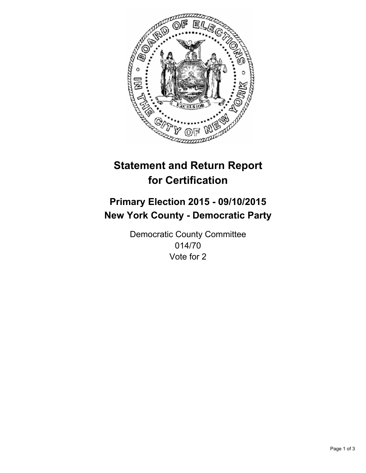

# **Statement and Return Report for Certification**

## **Primary Election 2015 - 09/10/2015 New York County - Democratic Party**

Democratic County Committee 014/70 Vote for 2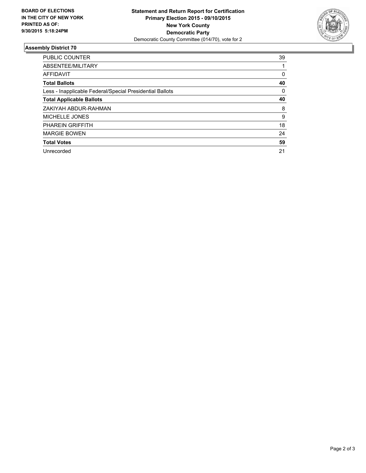

#### **Assembly District 70**

| <b>PUBLIC COUNTER</b>                                    | 39 |
|----------------------------------------------------------|----|
| ABSENTEE/MILITARY                                        |    |
| <b>AFFIDAVIT</b>                                         | 0  |
| <b>Total Ballots</b>                                     | 40 |
| Less - Inapplicable Federal/Special Presidential Ballots | 0  |
| <b>Total Applicable Ballots</b>                          | 40 |
| ZAKIYAH ABDUR-RAHMAN                                     | 8  |
| <b>MICHELLE JONES</b>                                    | 9  |
| <b>PHAREIN GRIFFITH</b>                                  | 18 |
| <b>MARGIE BOWEN</b>                                      | 24 |
| <b>Total Votes</b>                                       | 59 |
| Unrecorded                                               | 21 |